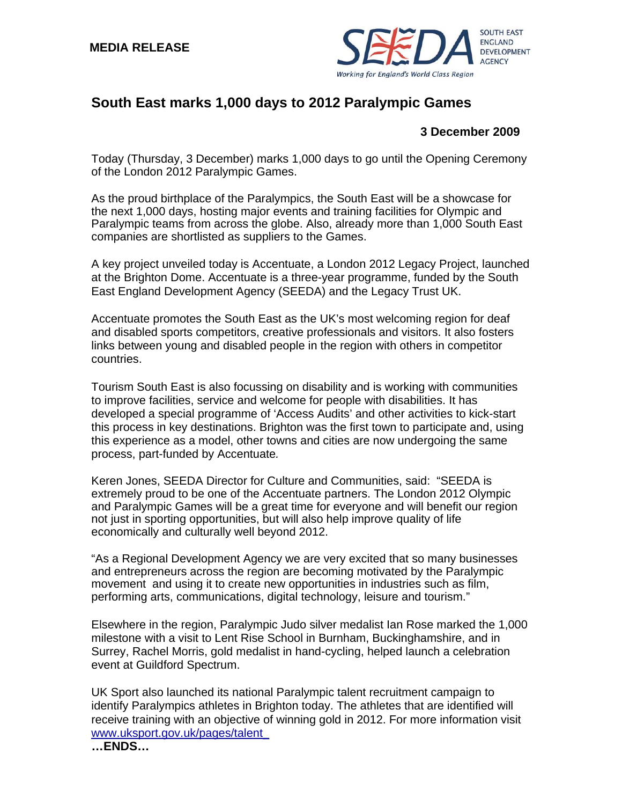

## **South East marks 1,000 days to 2012 Paralympic Games**

## **3 December 2009**

Today (Thursday, 3 December) marks 1,000 days to go until the Opening Ceremony of the London 2012 Paralympic Games.

As the proud birthplace of the Paralympics, the South East will be a showcase for the next 1,000 days, hosting major events and training facilities for Olympic and Paralympic teams from across the globe. Also, already more than 1,000 South East companies are shortlisted as suppliers to the Games.

A key project unveiled today is Accentuate, a London 2012 Legacy Project, launched at the Brighton Dome. Accentuate is a three-year programme, funded by the South East England Development Agency (SEEDA) and the Legacy Trust UK.

Accentuate promotes the South East as the UK's most welcoming region for deaf and disabled sports competitors, creative professionals and visitors. It also fosters links between young and disabled people in the region with others in competitor countries.

Tourism South East is also focussing on disability and is working with communities to improve facilities, service and welcome for people with disabilities. It has developed a special programme of 'Access Audits' and other activities to kick-start this process in key destinations. Brighton was the first town to participate and, using this experience as a model, other towns and cities are now undergoing the same process, part-funded by Accentuate*.* 

Keren Jones, SEEDA Director for Culture and Communities, said: "SEEDA is extremely proud to be one of the Accentuate partners. The London 2012 Olympic and Paralympic Games will be a great time for everyone and will benefit our region not just in sporting opportunities, but will also help improve quality of life economically and culturally well beyond 2012.

"As a Regional Development Agency we are very excited that so many businesses and entrepreneurs across the region are becoming motivated by the Paralympic movement and using it to create new opportunities in industries such as film, performing arts, communications, digital technology, leisure and tourism."

Elsewhere in the region, Paralympic Judo silver medalist Ian Rose marked the 1,000 milestone with a visit to Lent Rise School in Burnham, Buckinghamshire, and in Surrey, Rachel Morris, gold medalist in hand-cycling, helped launch a celebration event at Guildford Spectrum.

UK Sport also launched its national Paralympic talent recruitment campaign to identify Paralympics athletes in Brighton today. The athletes that are identified will receive training with an objective of winning gold in 2012. For more information visit [www.uksport.gov.uk/pages/talent\\_](http://www.uksport.gov.uk/pages/talent_id)

**…ENDS…**